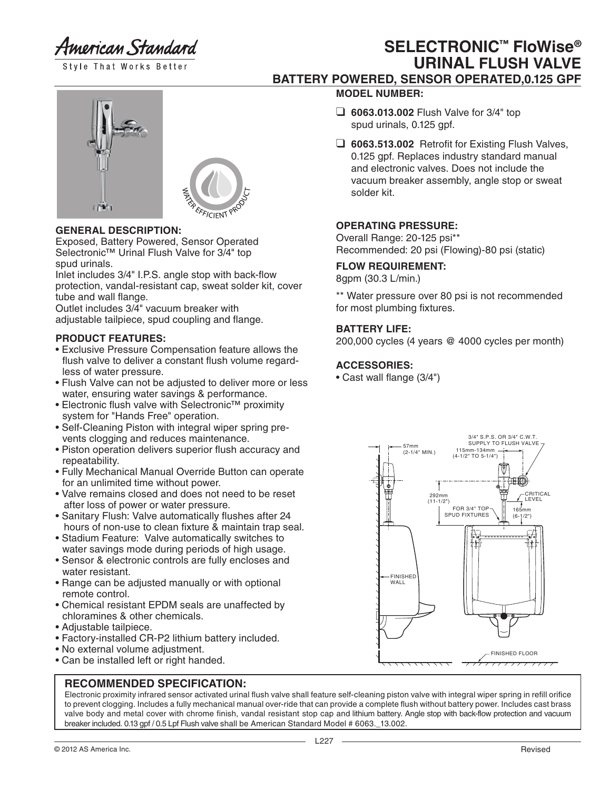American Standard

Style That Works Better

# **SELECTRONIC™ FloWise® URINAL FLUSH VALVE BATTERY POWERED, SENSOR OPERATED,0.125 GPF**



# **GENERAL DESCRIPTION:**

**TT** 

Exposed, Battery Powered, Sensor Operated Selectronic™ Urinal Flush Valve for 3/4" top spud urinals.

Inlet includes 3/4" I.P.S. angle stop with back-flow protection, vandal-resistant cap, sweat solder kit, cover tube and wall flange.

Outlet includes 3/4" vacuum breaker with adjustable tailpiece, spud coupling and flange.

# **PRODUCT FEATURES:**

- Exclusive Pressure Compensation feature allows the flush valve to deliver a constant flush volume regard less of water pressure.
- Flush Valve can not be adjusted to deliver more or less water, ensuring water savings & performance.
- Electronic flush valve with Selectronic™ proximity system for "Hands Free" operation.
- Self-Cleaning Piston with integral wiper spring pre vents clogging and reduces maintenance.
- Piston operation delivers superior flush accuracy and repeatability.
- Fully Mechanical Manual Override Button can operate for an unlimited time without power.
- Valve remains closed and does not need to be reset after loss of power or water pressure.
- Sanitary Flush: Valve automatically flushes after 24 hours of non-use to clean fixture & maintain trap seal.
- Stadium Feature: Valve automatically switches to water savings mode during periods of high usage.
- Sensor & electronic controls are fully encloses and water resistant.
- Range can be adjusted manually or with optional remote control.
- Chemical resistant EPDM seals are unaffected by chloramines & other chemicals.
- Adjustable tailpiece.
- Factory-installed CR-P2 lithium battery included.
- No external volume adjustment.
- Can be installed left or right handed.

# **RECOMMENDED SPECIFICATION:**

Electronic proximity infrared sensor activated urinal flush valve shall feature self-cleaning piston valve with integral wiper spring in refill orifice to prevent clogging. Includes a fully mechanical manual over-ride that can provide a complete flush without battery power. Includes cast brass valve body and metal cover with chrome finish, vandal resistant stop cap and lithium battery. Angle stop with back-flow protection and vacuum breaker included. 0.13 gpf / 0.5 Lpf Flush valve shall be American Standard Model # 6063.\_13.002.

- **MODEL NUMBER:** ❑ **6063.013.002** Flush Valve for 3/4" top
	- spud urinals, 0.125 gpf.
- ❑ **6063.513.002** Retrofit for Existing Flush Valves, 0.125 gpf. Replaces industry standard manual and electronic valves. Does not include the vacuum breaker assembly, angle stop or sweat solder kit.

# **OPERATING PRESSURE:**

Overall Range: 20-125 psi\*\* Recommended: 20 psi (Flowing)-80 psi (static)

### **FLOW REQUIREMENT:**

8gpm (30.3 L/min.)

\*\* Water pressure over 80 psi is not recommended for most plumbing fixtures.

# **BATTERY LIFE:**

200,000 cycles (4 years @ 4000 cycles per month)

# **ACCESSORIES:**

• Cast wall flange (3/4")